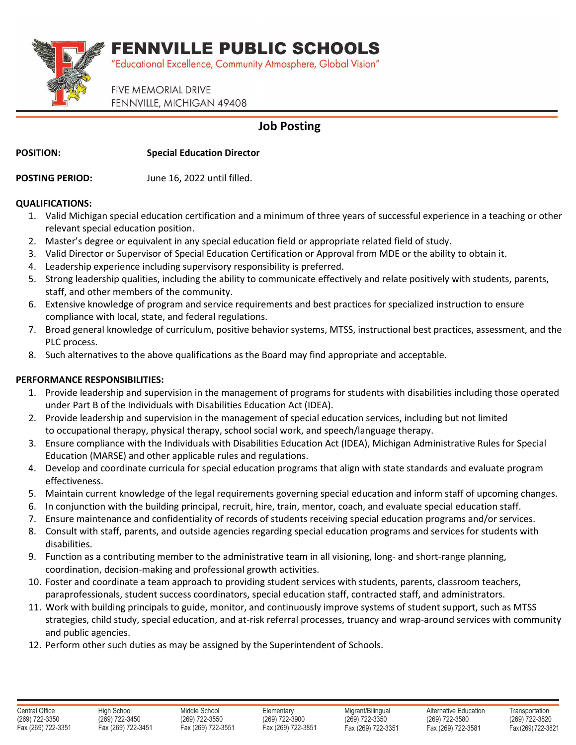FENNVILLE PUBLIC SCHOOLS



"Educational Excellence, Community Atmosphere, Global Vision"

**FIVE MEMORIAL DRIVE** FENNVILLE, MICHIGAN 49408

## **Job Posting**

**POSITION: Special Education Director**

**POSTING PERIOD:** June 16, 2022 until filled.

### **QUALIFICATIONS:**

- 1. Valid Michigan special education certification and a minimum of three years of successful experience in a teaching or other relevant special education position.
- 2. Master's degree or equivalent in any special education field or appropriate related field of study.
- 3. Valid Director or Supervisor of Special Education Certification or Approval from MDE or the ability to obtain it.
- 4. Leadership experience including supervisory responsibility is preferred.
- 5. Strong leadership qualities, including the ability to communicate effectively and relate positively with students, parents, staff, and other members of the community.
- 6. Extensive knowledge of program and service requirements and best practices for specialized instruction to ensure compliance with local, state, and federal regulations.
- 7. Broad general knowledge of curriculum, positive behavior systems, MTSS, instructional best practices, assessment, and the PLC process.
- 8. Such alternatives to the above qualifications as the Board may find appropriate and acceptable.

## **PERFORMANCE RESPONSIBILITIES:**

- 1. Provide leadership and supervision in the management of programs for students with disabilities including those operated under Part B of the Individuals with Disabilities Education Act (IDEA).
- 2. Provide leadership and supervision in the management of special education services, including but not limited to occupational therapy, physical therapy, school social work, and speech/language therapy.
- 3. Ensure compliance with the Individuals with Disabilities Education Act (IDEA), Michigan Administrative Rules for Special Education (MARSE) and other applicable rules and regulations.
- 4. Develop and coordinate curricula for special education programs that align with state standards and evaluate program effectiveness.
- 5. Maintain current knowledge of the legal requirements governing special education and inform staff of upcoming changes.
- 6. In conjunction with the building principal, recruit, hire, train, mentor, coach, and evaluate special education staff.
- 7. Ensure maintenance and confidentiality of records of students receiving special education programs and/or services.
- 8. Consult with staff, parents, and outside agencies regarding special education programs and services for students with disabilities.
- 9. Function as a contributing member to the administrative team in all visioning, long- and short-range planning, coordination, decision-making and professional growth activities.
- 10. Foster and coordinate a team approach to providing student services with students, parents, classroom teachers, paraprofessionals, student success coordinators, special education staff, contracted staff, and administrators.
- 11. Work with building principals to guide, monitor, and continuously improve systems of student support, such as MTSS strategies, child study, special education, and at-risk referral processes, truancy and wrap-around services with community and public agencies.
- 12. Perform other such duties as may be assigned by the Superintendent of Schools.